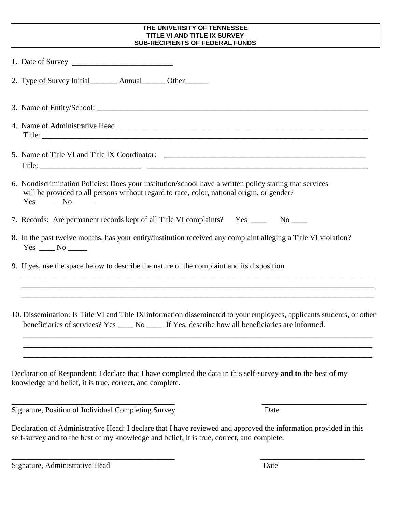## **THE UNIVERSITY OF TENNESSEE TITLE VI AND TITLE IX SURVEY SUB-RECIPIENTS OF FEDERAL FUNDS**

| 2. Type of Survey Initial__________ Annual________ Other________                                                                                                                                                              |
|-------------------------------------------------------------------------------------------------------------------------------------------------------------------------------------------------------------------------------|
|                                                                                                                                                                                                                               |
|                                                                                                                                                                                                                               |
| 5. Name of Title VI and Title IX Coordinator: ___________________________________                                                                                                                                             |
| 6. Nondiscrimination Policies: Does your institution/school have a written policy stating that services<br>will be provided to all persons without regard to race, color, national origin, or gender?<br>$Yes$ No $\qquad$    |
| 7. Records: Are permanent records kept of all Title VI complaints? Yes _____ No ____                                                                                                                                          |
| 8. In the past twelve months, has your entity/institution received any complaint alleging a Title VI violation?<br>$Yes \_\_\_No \_\_\_$                                                                                      |
| 9. If yes, use the space below to describe the nature of the complaint and its disposition<br>,我们也不能会有什么。""我们的人,我们也不能会有什么?""我们的人,我们也不能会有什么?""我们的人,我们也不能会有什么?""我们的人,我们也不能会有什么?""                                               |
| 10. Dissemination: Is Title VI and Title IX information disseminated to your employees, applicants students, or other<br>beneficiaries of services? Yes ______ No ______ If Yes, describe how all beneficiaries are informed. |
| Declaration of Respondent: I declare that I have completed the data in this self-survey and to the best of my<br>knowledge and belief, it is true, correct, and complete.                                                     |
| Signature, Position of Individual Completing Survey<br>Date                                                                                                                                                                   |
| Declaration of Administrative Head: I declare that I have reviewed and approved the information provided in this<br>self-survey and to the best of my knowledge and belief, it is true, correct, and complete.                |

\_\_\_\_\_\_\_\_\_\_\_\_\_\_\_\_\_\_\_\_\_\_\_\_\_\_\_\_\_\_\_\_\_\_\_\_\_\_\_\_\_\_ \_\_\_\_\_\_\_\_\_\_\_\_\_\_\_\_\_\_\_\_\_\_\_\_\_\_\_

Signature, Administrative Head Date